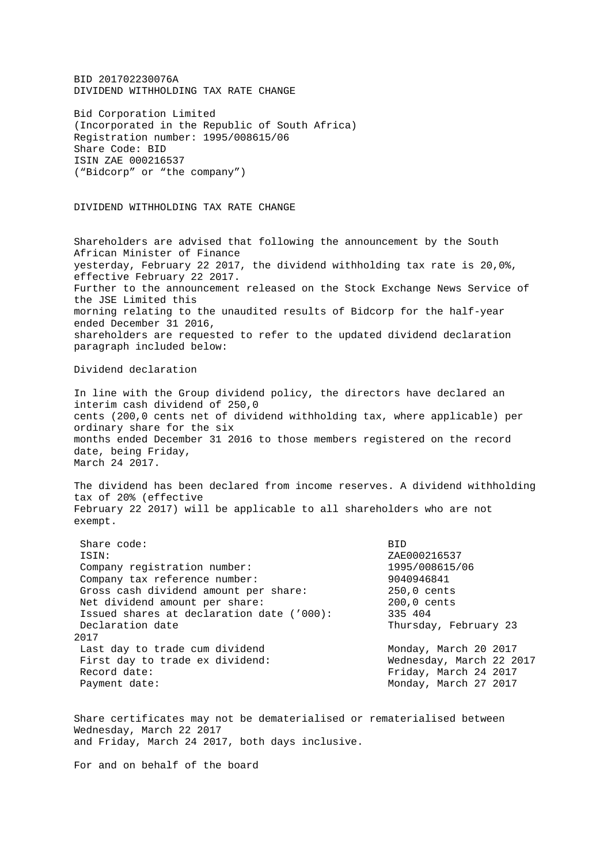BID 201702230076A DIVIDEND WITHHOLDING TAX RATE CHANGE

Bid Corporation Limited (Incorporated in the Republic of South Africa) Registration number: 1995/008615/06 Share Code: BID ISIN ZAE 000216537 ("Bidcorp" or "the company")

DIVIDEND WITHHOLDING TAX RATE CHANGE

Shareholders are advised that following the announcement by the South African Minister of Finance yesterday, February 22 2017, the dividend withholding tax rate is 20,0%, effective February 22 2017. Further to the announcement released on the Stock Exchange News Service of the JSE Limited this morning relating to the unaudited results of Bidcorp for the half-year ended December 31 2016, shareholders are requested to refer to the updated dividend declaration paragraph included below:

Dividend declaration

In line with the Group dividend policy, the directors have declared an interim cash dividend of 250,0 cents (200,0 cents net of dividend withholding tax, where applicable) per ordinary share for the six months ended December 31 2016 to those members registered on the record date, being Friday, March 24 2017.

The dividend has been declared from income reserves. A dividend withholding tax of 20% (effective February 22 2017) will be applicable to all shareholders who are not exempt.

| Share code:                               | <b>BID</b>               |
|-------------------------------------------|--------------------------|
| ISIN:                                     | ZAE000216537             |
| Company registration number:              | 1995/008615/06           |
| Company tax reference number:             | 9040946841               |
| Gross cash dividend amount per share:     | 250,0 cents              |
| Net dividend amount per share:            | $200,0$ cents            |
| Issued shares at declaration date ('000): | 335 404                  |
| Declaration date                          | Thursday, February 23    |
| 2017                                      |                          |
| Last day to trade cum dividend            | Monday, March 20 2017    |
| First day to trade ex dividend:           | Wednesday, March 22 2017 |
| Record date:                              | Friday, March 24 2017    |
| Payment date:                             | Monday, March 27 2017    |
|                                           |                          |

Share certificates may not be dematerialised or rematerialised between Wednesday, March 22 2017 and Friday, March 24 2017, both days inclusive.

For and on behalf of the board